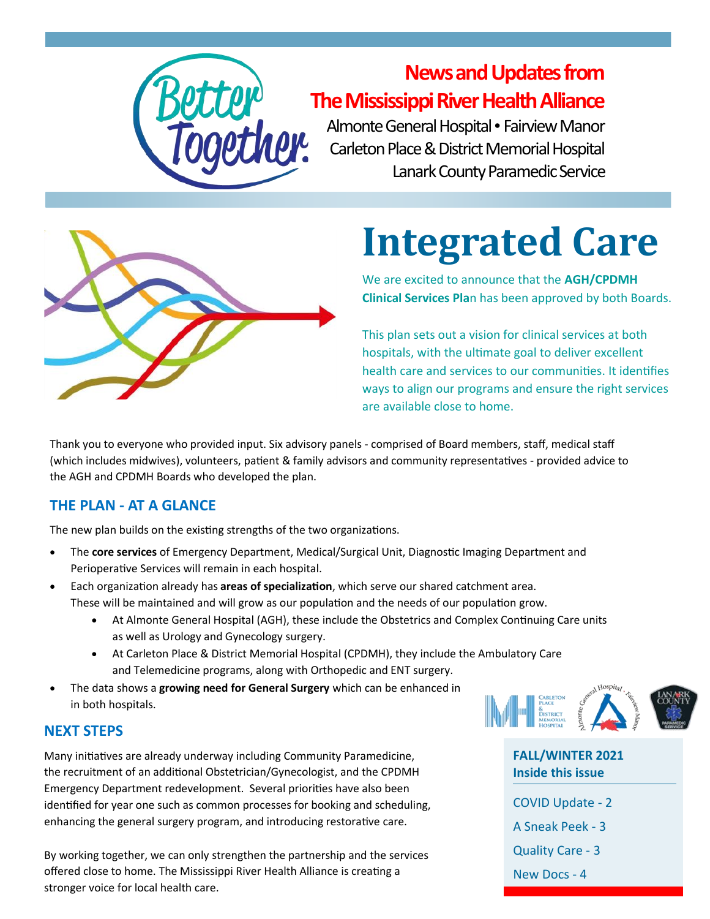

### **News and Updates from The Mississippi River Health Alliance**

Almonte General Hospital • Fairview Manor Carleton Place & District Memorial Hospital Lanark County Paramedic Service



# **Integrated Care**

We are excited to announce that the **AGH/CPDMH Clinical Services Pla**n has been approved by both Boards.

This plan sets out a vision for clinical services at both hospitals, with the ultimate goal to deliver excellent health care and services to our communities. It identifies ways to align our programs and ensure the right services are available close to home.

Thank you to everyone who provided input. Six advisory panels - comprised of Board members, staff, medical staff (which includes midwives), volunteers, patient & family advisors and community representatives - provided advice to the AGH and CPDMH Boards who developed the plan.

#### **THE PLAN - AT A GLANCE**

The new plan builds on the existing strengths of the two organizations.

- The **core services** of Emergency Department, Medical/Surgical Unit, Diagnostic Imaging Department and Perioperative Services will remain in each hospital.
- Each organization already has **areas of specialization**, which serve our shared catchment area. These will be maintained and will grow as our population and the needs of our population grow.
	- At Almonte General Hospital (AGH), these include the Obstetrics and Complex Continuing Care units as well as Urology and Gynecology surgery.
	- At Carleton Place & District Memorial Hospital (CPDMH), they include the Ambulatory Care and Telemedicine programs, along with Orthopedic and ENT surgery.
- The data shows a **growing need for General Surgery** which can be enhanced in in both hospitals.

# CARLETON<br>PLACE<br>&<br>District<br>MEMORIAL<br>HOSPITAL

### **NEXT STEPS**

Many initiatives are already underway including Community Paramedicine, the recruitment of an additional Obstetrician/Gynecologist, and the CPDMH Emergency Department redevelopment. Several priorities have also been identified for year one such as common processes for booking and scheduling, enhancing the general surgery program, and introducing restorative care.

By working together, we can only strengthen the partnership and the services offered close to home. The Mississippi River Health Alliance is creating a stronger voice for local health care.

**Inside this issue** COVID Update - 2 A Sneak Peek - 3 Quality Care - 3 New Docs - 4

**FALL/WINTER 2021**

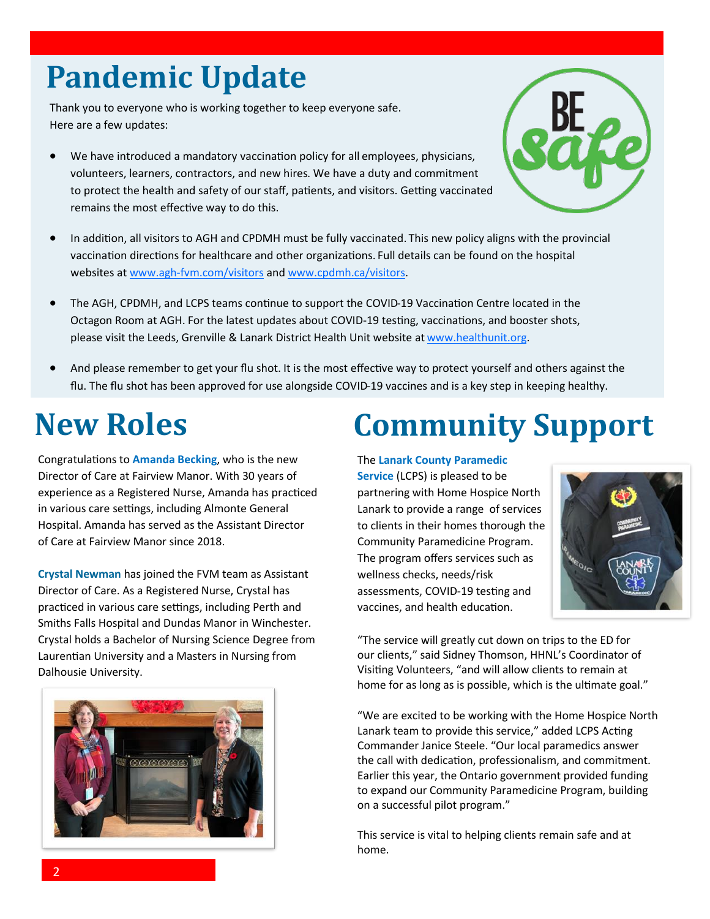# **Pandemic Update**

Thank you to everyone who is working together to keep everyone safe. Here are a few updates:

• We have introduced a mandatory vaccination policy for all employees, physicians, volunteers, learners, contractors, and new hires. We have a duty and commitment to protect the health and safety of our staff, patients, and visitors. Getting vaccinated remains the most effective way to do this.



- In addition, all visitors to AGH and CPDMH must be fully vaccinated. This new policy aligns with the provincial vaccination directions for healthcare and other organizations. Full details can be found on the hospital websites at www.agh-[fvm.com/visitors](http://www.agh-fvm.com/visitors) and [www.cpdmh.ca/visitors.](http://www.cpdmh.ca/visitors)
- The AGH, CPDMH, and LCPS teams continue to support the COVID-19 Vaccination Centre located in the Octagon Room at AGH. For the latest updates about COVID-19 testing, vaccinations, and booster shots, please visit the Leeds, Grenville & Lanark District Health Unit website at [www.healthunit.org.](http://www.healthunit.org)
- And please remember to get your flu shot. It is the most effective way to protect yourself and others against the flu. The flu shot has been approved for use alongside COVID-19 vaccines and is a key step in keeping healthy.

### **New Roles**

Congratulations to **Amanda Becking**, who is the new Director of Care at Fairview Manor. With 30 years of experience as a Registered Nurse, Amanda has practiced in various care settings, including Almonte General Hospital. Amanda has served as the Assistant Director of Care at Fairview Manor since 2018.

**Crystal Newman** has joined the FVM team as Assistant Director of Care. As a Registered Nurse, Crystal has practiced in various care settings, including Perth and Smiths Falls Hospital and Dundas Manor in Winchester. Crystal holds a Bachelor of Nursing Science Degree from Laurentian University and a Masters in Nursing from Dalhousie University.



# **Community Support**

#### The **Lanark County Paramedic**

**Service** (LCPS) is pleased to be partnering with Home Hospice North Lanark to provide a range of services to clients in their homes thorough the Community Paramedicine Program. The program offers services such as wellness checks, needs/risk assessments, COVID-19 testing and vaccines, and health education.



"The service will greatly cut down on trips to the ED for our clients," said Sidney Thomson, HHNL's Coordinator of Visiting Volunteers, "and will allow clients to remain at home for as long as is possible, which is the ultimate goal."

"We are excited to be working with the Home Hospice North Lanark team to provide this service," added LCPS Acting Commander Janice Steele. "Our local paramedics answer the call with dedication, professionalism, and commitment. Earlier this year, the Ontario government provided funding to expand our Community Paramedicine Program, building on a successful pilot program."

This service is vital to helping clients remain safe and at home.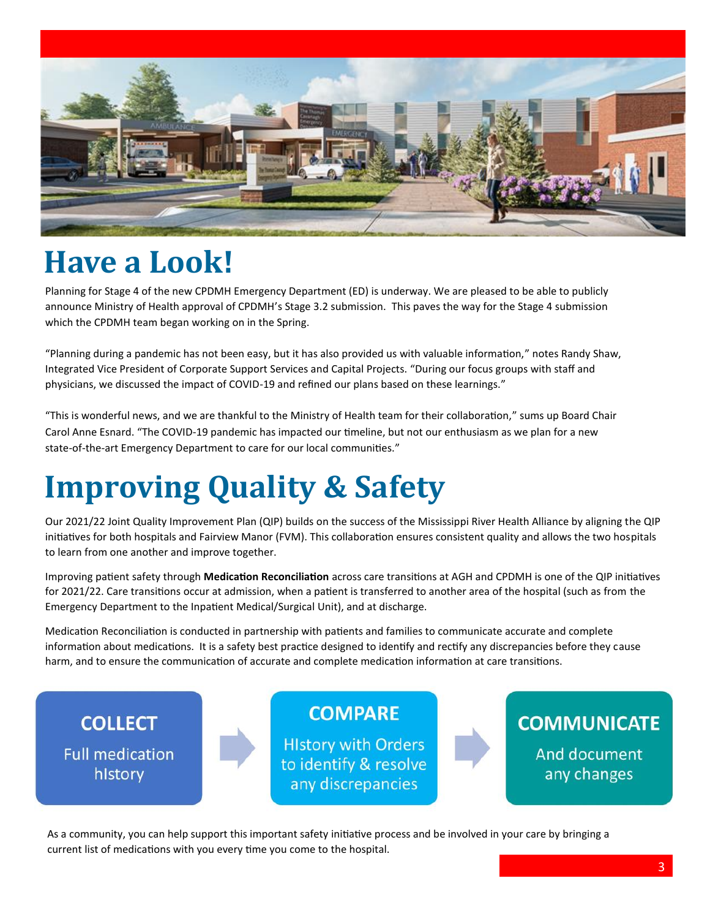

### **Have a Look!**

Planning for Stage 4 of the new CPDMH Emergency Department (ED) is underway. We are pleased to be able to publicly announce Ministry of Health approval of CPDMH's Stage 3.2 submission. This paves the way for the Stage 4 submission which the CPDMH team began working on in the Spring.

"Planning during a pandemic has not been easy, but it has also provided us with valuable information," notes Randy Shaw, Integrated Vice President of Corporate Support Services and Capital Projects. "During our focus groups with staff and physicians, we discussed the impact of COVID-19 and refined our plans based on these learnings."

"This is wonderful news, and we are thankful to the Ministry of Health team for their collaboration," sums up Board Chair Carol Anne Esnard. "The COVID-19 pandemic has impacted our timeline, but not our enthusiasm as we plan for a new state-of-the-art Emergency Department to care for our local communities."

# **Improving Quality & Safety**

Our 2021/22 Joint Quality Improvement Plan (QIP) builds on the success of the Mississippi River Health Alliance by aligning the QIP initiatives for both hospitals and Fairview Manor (FVM). This collaboration ensures consistent quality and allows the two hospitals to learn from one another and improve together.

Improving patient safety through **Medication Reconciliation** across care transitions at AGH and CPDMH is one of the QIP initiatives for 2021/22. Care transitions occur at admission, when a patient is transferred to another area of the hospital (such as from the Emergency Department to the Inpatient Medical/Surgical Unit), and at discharge.

Medication Reconciliation is conducted in partnership with patients and families to communicate accurate and complete information about medications. It is a safety best practice designed to identify and rectify any discrepancies before they cause harm, and to ensure the communication of accurate and complete medication information at care transitions.



As a community, you can help support this important safety initiative process and be involved in your care by bringing a current list of medications with you every time you come to the hospital.